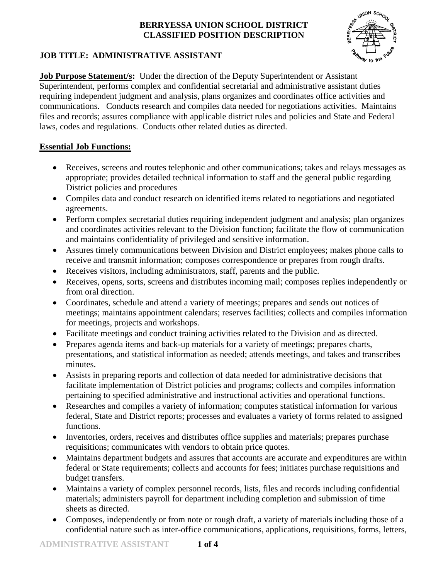

# **JOB TITLE: ADMINISTRATIVE ASSISTANT**

**Job Purpose Statement/s:** Under the direction of the Deputy Superintendent or Assistant Superintendent, performs complex and confidential secretarial and administrative assistant duties requiring independent judgment and analysis, plans organizes and coordinates office activities and communications. Conducts research and compiles data needed for negotiations activities. Maintains files and records; assures compliance with applicable district rules and policies and State and Federal laws, codes and regulations. Conducts other related duties as directed.

## **Essential Job Functions:**

- Receives, screens and routes telephonic and other communications; takes and relays messages as appropriate; provides detailed technical information to staff and the general public regarding District policies and procedures
- Compiles data and conduct research on identified items related to negotiations and negotiated agreements.
- Perform complex secretarial duties requiring independent judgment and analysis; plan organizes and coordinates activities relevant to the Division function; facilitate the flow of communication and maintains confidentiality of privileged and sensitive information.
- Assures timely communications between Division and District employees; makes phone calls to receive and transmit information; composes correspondence or prepares from rough drafts.
- Receives visitors, including administrators, staff, parents and the public.
- Receives, opens, sorts, screens and distributes incoming mail; composes replies independently or from oral direction.
- Coordinates, schedule and attend a variety of meetings; prepares and sends out notices of meetings; maintains appointment calendars; reserves facilities; collects and compiles information for meetings, projects and workshops.
- Facilitate meetings and conduct training activities related to the Division and as directed.
- Prepares agenda items and back-up materials for a variety of meetings; prepares charts, presentations, and statistical information as needed; attends meetings, and takes and transcribes minutes.
- Assists in preparing reports and collection of data needed for administrative decisions that facilitate implementation of District policies and programs; collects and compiles information pertaining to specified administrative and instructional activities and operational functions.
- Researches and compiles a variety of information; computes statistical information for various federal, State and District reports; processes and evaluates a variety of forms related to assigned functions.
- Inventories, orders, receives and distributes office supplies and materials; prepares purchase requisitions; communicates with vendors to obtain price quotes.
- Maintains department budgets and assures that accounts are accurate and expenditures are within federal or State requirements; collects and accounts for fees; initiates purchase requisitions and budget transfers.
- Maintains a variety of complex personnel records, lists, files and records including confidential materials; administers payroll for department including completion and submission of time sheets as directed.
- Composes, independently or from note or rough draft, a variety of materials including those of a confidential nature such as inter-office communications, applications, requisitions, forms, letters,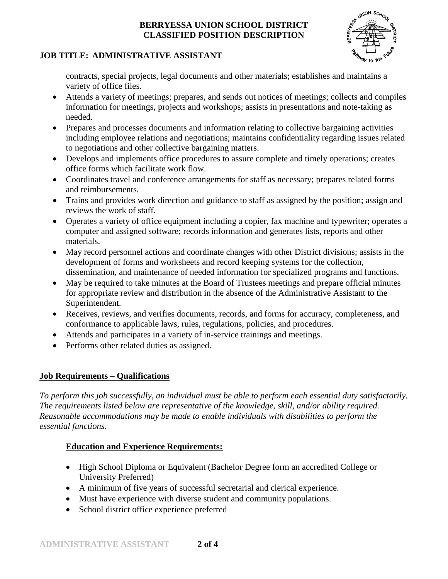

# **JOB TITLE: ADMINISTRATIVE ASSISTANT**

contracts, special projects, legal documents and other materials; establishes and maintains a variety of office files.

- Attends a variety of meetings; prepares, and sends out notices of meetings; collects and compiles information for meetings, projects and workshops; assists in presentations and note-taking as needed.
- Prepares and processes documents and information relating to collective bargaining activities including employee relations and negotiations; maintains confidentiality regarding issues related to negotiations and other collective bargaining matters.
- Develops and implements office procedures to assure complete and timely operations; creates office forms which facilitate work flow.
- Coordinates travel and conference arrangements for staff as necessary; prepares related forms and reimbursements.
- Trains and provides work direction and guidance to staff as assigned by the position; assign and reviews the work of staff.
- Operates a variety of office equipment including a copier, fax machine and typewriter; operates a computer and assigned software; records information and generates lists, reports and other materials.
- May record personnel actions and coordinate changes with other District divisions; assists in the development of forms and worksheets and record keeping systems for the collection, dissemination, and maintenance of needed information for specialized programs and functions.
- May be required to take minutes at the Board of Trustees meetings and prepare official minutes for appropriate review and distribution in the absence of the Administrative Assistant to the Superintendent.
- Receives, reviews, and verifies documents, records, and forms for accuracy, completeness, and conformance to applicable laws, rules, regulations, policies, and procedures.
- Attends and participates in a variety of in-service trainings and meetings.
- Performs other related duties as assigned.

# **Job Requirements – Qualifications**

*To perform this job successfully, an individual must be able to perform each essential duty satisfactorily. The requirements listed below are representative of the knowledge, skill, and/or ability required. Reasonable accommodations may be made to enable individuals with disabilities to perform the essential functions.*

# **Education and Experience Requirements:**

- High School Diploma or Equivalent (Bachelor Degree form an accredited College or University Preferred)
- A minimum of five years of successful secretarial and clerical experience.
- Must have experience with diverse student and community populations.
- School district office experience preferred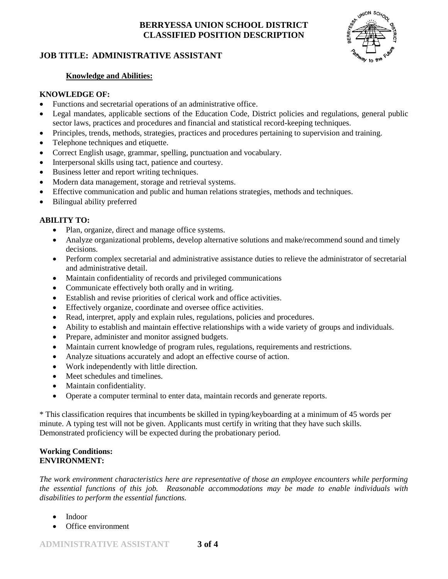## **JOB TITLE: ADMINISTRATIVE ASSISTANT**



#### **Knowledge and Abilities:**

#### **KNOWLEDGE OF:**

- Functions and secretarial operations of an administrative office.
- Legal mandates, applicable sections of the Education Code, District policies and regulations, general public sector laws, practices and procedures and financial and statistical record-keeping techniques.
- Principles, trends, methods, strategies, practices and procedures pertaining to supervision and training.
- Telephone techniques and etiquette.
- Correct English usage, grammar, spelling, punctuation and vocabulary.
- Interpersonal skills using tact, patience and courtesy.
- Business letter and report writing techniques.
- Modern data management, storage and retrieval systems.
- Effective communication and public and human relations strategies, methods and techniques.
- Bilingual ability preferred

#### **ABILITY TO:**

- Plan, organize, direct and manage office systems.
- Analyze organizational problems, develop alternative solutions and make/recommend sound and timely decisions.
- Perform complex secretarial and administrative assistance duties to relieve the administrator of secretarial and administrative detail.
- Maintain confidentiality of records and privileged communications
- Communicate effectively both orally and in writing.
- Establish and revise priorities of clerical work and office activities.
- Effectively organize, coordinate and oversee office activities.
- Read, interpret, apply and explain rules, regulations, policies and procedures.
- Ability to establish and maintain effective relationships with a wide variety of groups and individuals.
- Prepare, administer and monitor assigned budgets.
- Maintain current knowledge of program rules, regulations, requirements and restrictions.
- Analyze situations accurately and adopt an effective course of action.
- Work independently with little direction.
- Meet schedules and timelines.
- Maintain confidentiality.
- Operate a computer terminal to enter data, maintain records and generate reports.

\* This classification requires that incumbents be skilled in typing/keyboarding at a minimum of 45 words per minute. A typing test will not be given. Applicants must certify in writing that they have such skills. Demonstrated proficiency will be expected during the probationary period.

#### **Working Conditions: ENVIRONMENT:**

*The work environment characteristics here are representative of those an employee encounters while performing the essential functions of this job. Reasonable accommodations may be made to enable individuals with disabilities to perform the essential functions.*

- Indoor
- Office environment